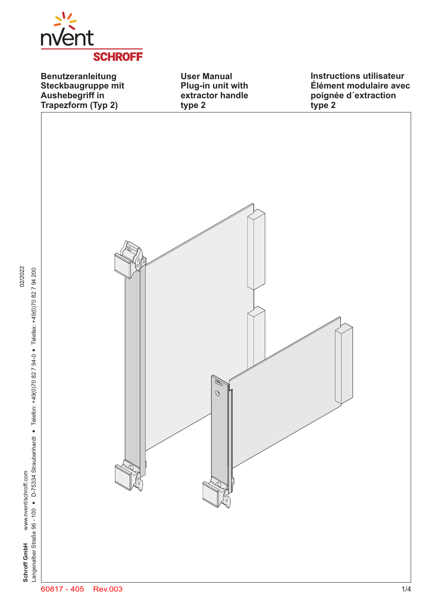

**Benutzeranleitung Steckbaugruppe mit Aushebegriff in Trapezform (Typ 2)**

**User Manual Plug-in unit with extractor handle**

**Instructions utilisateur Élément modulaire avec poignée d´extraction type 2**

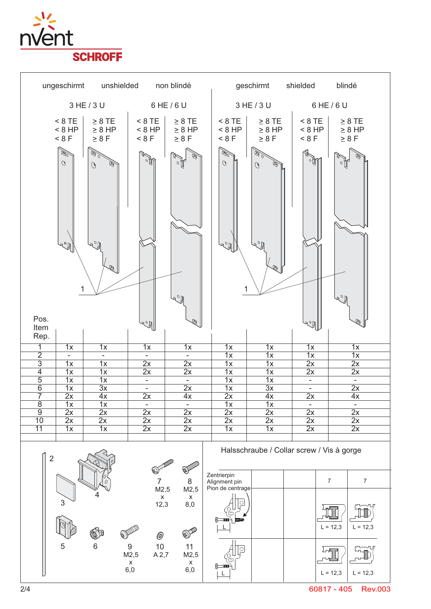





60817 - 405 Rev.003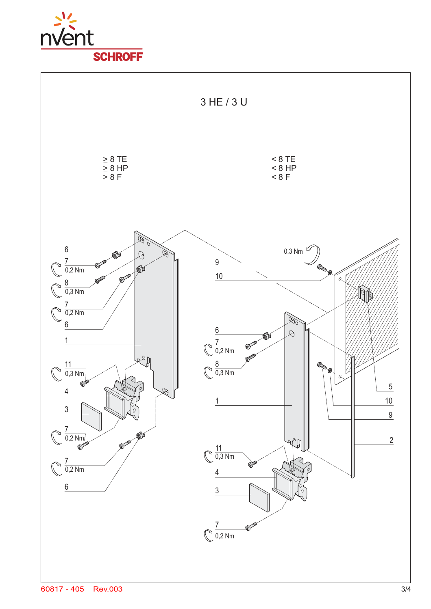